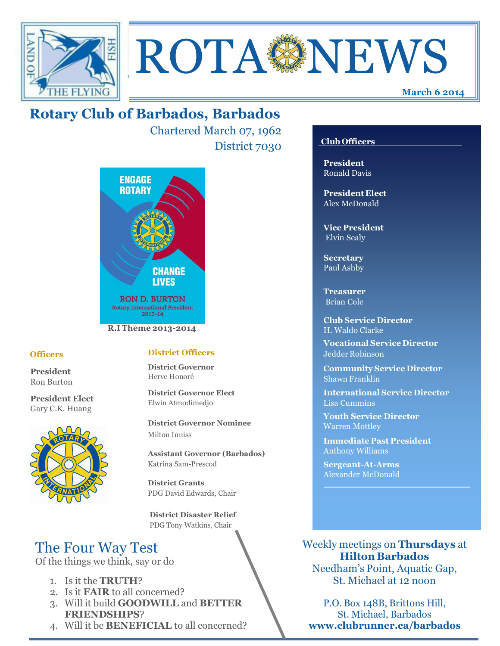



Chartered March 07, 1962 District 7030



#### **Officers**

**President** Ron Burton

**President Elect** Gary C.K. Huang



#### **District Officers**

**District Governor** Herve Honoré

**District Governor Elect** Elwin Atmodimedjo

**District Governor Nominee**  Milton Inniss

**Assistant Governor (Barbados)** Katrina Sam-Prescod

**District Grants**  PDG David Edwards, Chair

 **District Disaster Relief** PDG Tony Watkins, Chair

# The Four Way Test

Of the things we think, say or do

- 1. Is it the **TRUTH**?
- 2. Is it **FAIR** to all concerned?
- 3. Will it build **GOODWILL** and **BETTER FRIENDSHIPS**?
- 4. Will it be **BENEFICIAL** to all concerned?

## **Club Officers**

**March 6 2014**

**President** Ronald Davis

**President Elect** Alex McDonald

**Vice President** Elvin Sealy

**Secretary** Paul Ashby

**Treasurer** Brian Cole

**Club Service Director** H. Waldo Clarke

**Vocational Service Director** Jedder Robinson

**Community Service Director** Shawn Franklin

**International Service Director** Lisa Cummins

**Youth Service Director** Warren Mottley

**Immediate Past President** Anthony Williams

**Sergeant-At-Arms** Alexander McDonald

Weekly meetings on **Thursdays** at **Hilton Barbados** Needham's Point, Aquatic Gap,

St. Michael at 12 noon

P.O. Box 148B, Brittons Hill, St. Michael, Barbados **www.clubrunner.ca/barbados**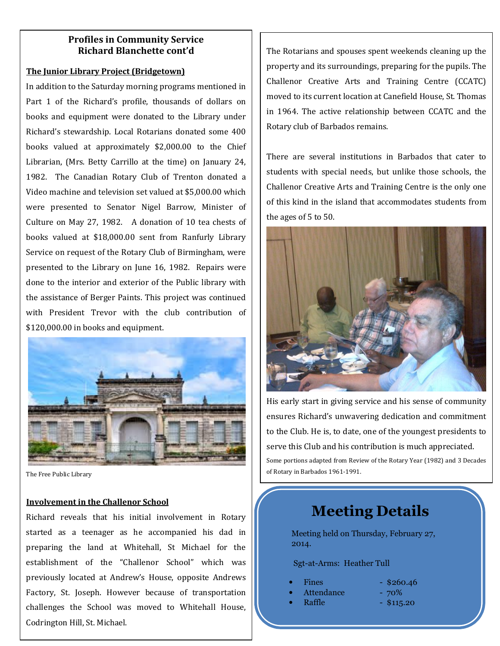#### **Profiles in Community Service Richard Blanchette cont'd**

#### **The Junior Library Project (Bridgetown)**

In addition to the Saturday morning programs mentioned in Part 1 of the Richard's profile, thousands of dollars on books and equipment were donated to the Library under Richard's stewardship. Local Rotarians donated some 400 books valued at approximately \$2,000.00 to the Chief Librarian, (Mrs. Betty Carrillo at the time) on January 24, 1982. The Canadian Rotary Club of Trenton donated a Video machine and television set valued at \$5,000.00 which were presented to Senator Nigel Barrow, Minister of Culture on May 27, 1982. A donation of 10 tea chests of books valued at \$18,000.00 sent from Ranfurly Library Service on request of the Rotary Club of Birmingham, were presented to the Library on June 16, 1982. Repairs were done to the interior and exterior of the Public library with the assistance of Berger Paints. This project was continued with President Trevor with the club contribution of \$120,000.00 in books and equipment.



The Free Public Library

#### **Involvement in the Challenor School**

Richard reveals that his initial involvement in Rotary started as a teenager as he accompanied his dad in preparing the land at Whitehall, St Michael for the establishment of the "Challenor School" which was previously located at Andrew's House, opposite Andrews Factory, St. Joseph. However because of transportation challenges the School was moved to Whitehall House, Codrington Hill, St. Michael.

The Rotarians and spouses spent weekends cleaning up the property and its surroundings, preparing for the pupils. The Challenor Creative Arts and Training Centre (CCATC) moved to its current location at Canefield House, St. Thomas in 1964. The active relationship between CCATC and the Rotary club of Barbados remains.

There are several institutions in Barbados that cater to students with special needs, but unlike those schools, the Challenor Creative Arts and Training Centre is the only one of this kind in the island that accommodates students from the ages of 5 to 50.



His early start in giving service and his sense of community ensures Richard's unwavering dedication and commitment to the Club. He is, to date, one of the youngest presidents to serve this Club and his contribution is much appreciated. Some portions adapted from Review of the Rotary Year (1982) and 3 Decades of Rotary in Barbados 1961-1991.

# **Meeting Details**

Meeting held on Thursday, February 27, 2014.

Sgt-at-Arms: Heather Tull

- 
- Attendance 70%
- **Raffle \$115.20**
- Fines  $-$  \$260.46
	-
	-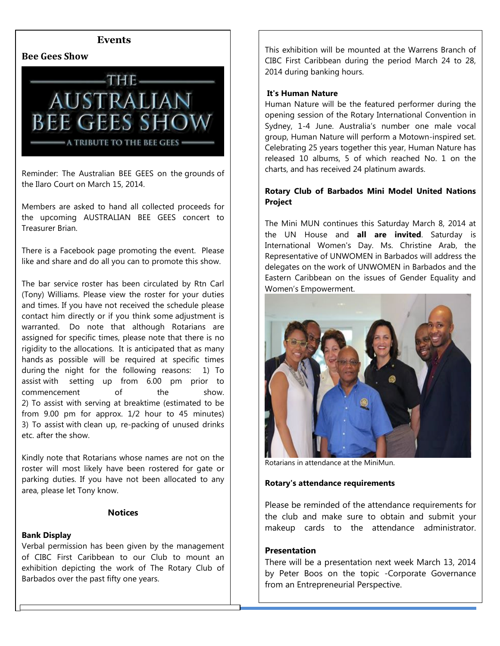

**Events**

Reminder: The Australian BEE GEES on the grounds of the Ilaro Court on March 15, 2014.

Members are asked to hand all collected proceeds for the upcoming AUSTRALIAN BEE GEES concert to Treasurer Brian.

There is a Facebook page promoting the event. Please like and share and do all you can to promote this show.

The bar service roster has been circulated by Rtn Carl (Tony) Williams. Please view the roster for your duties and times. If you have not received the schedule please contact him directly or if you think some adjustment is warranted. Do note that although Rotarians are assigned for specific times, please note that there is no rigidity to the allocations. It is anticipated that as many hands as possible will be required at specific times during the night for the following reasons: 1) To assist with setting up from 6.00 pm prior to commencement of the show. 2) To assist with serving at breaktime (estimated to be from 9.00 pm for approx. 1/2 hour to 45 minutes) 3) To assist with clean up, re-packing of unused drinks etc. after the show.

Kindly note that Rotarians whose names are not on the roster will most likely have been rostered for gate or parking duties. If you have not been allocated to any area, please let Tony know.

#### **Notices**

#### **Bank Display**

Verbal permission has been given by the management of CIBC First Caribbean to our Club to mount an exhibition depicting the work of The Rotary Club of Barbados over the past fifty one years.

This exhibition will be mounted at the Warrens Branch of CIBC First Caribbean during the period March 24 to 28, 2014 during banking hours.

#### **It's Human Nature**

Human Nature will be the featured performer during the opening session of the Rotary International Convention in Sydney, 1-4 June. Australia's number one male vocal group, Human Nature will perform a Motown-inspired set. Celebrating 25 years together this year, Human Nature has released 10 albums, 5 of which reached No. 1 on the charts, and has received 24 platinum awards.

#### **Rotary Club of Barbados Mini Model United Nations Project**

The Mini MUN continues this Saturday March 8, 2014 at the UN House and **all are invited**. Saturday is International Women's Day. Ms. Christine Arab, the Representative of UNWOMEN in Barbados will address the delegates on the work of UNWOMEN in Barbados and the Eastern Caribbean on the issues of Gender Equality and Women's Empowerment.



Rotarians in attendance at the MiniMun.

#### **Rotary's attendance requirements**

Please be reminded of the attendance requirements for the club and make sure to obtain and submit your makeup cards to the attendance administrator.

#### **Presentation**

 from an Entrepreneurial Perspective. There will be a presentation next week March 13, 2014 by Peter Boos on the topic -Corporate Governance